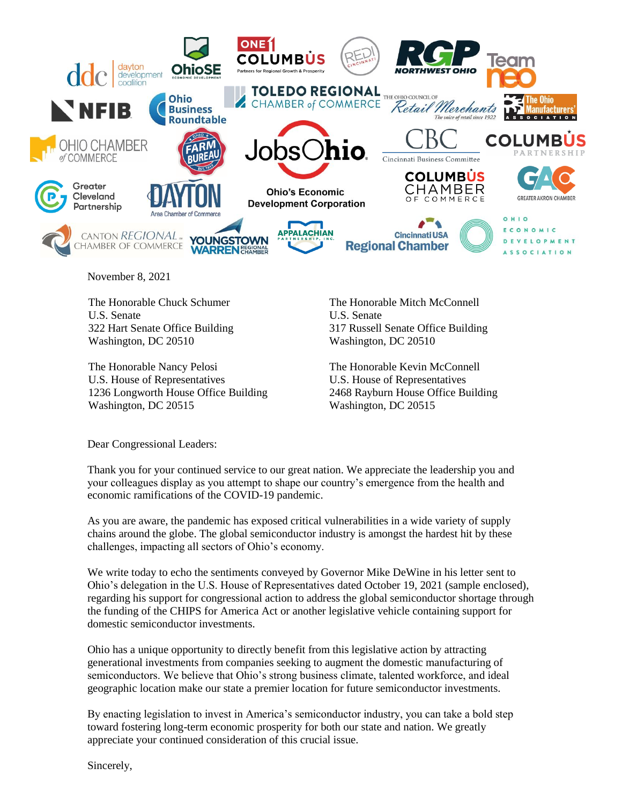

November 8, 2021

The Honorable Chuck Schumer U.S. Senate 322 Hart Senate Office Building Washington, DC 20510

The Honorable Nancy Pelosi U.S. House of Representatives 1236 Longworth House Office Building Washington, DC 20515

The Honorable Mitch McConnell U.S. Senate 317 Russell Senate Office Building Washington, DC 20510

The Honorable Kevin McConnell U.S. House of Representatives 2468 Rayburn House Office Building Washington, DC 20515

Dear Congressional Leaders:

Thank you for your continued service to our great nation. We appreciate the leadership you and your colleagues display as you attempt to shape our country's emergence from the health and economic ramifications of the COVID-19 pandemic.

As you are aware, the pandemic has exposed critical vulnerabilities in a wide variety of supply chains around the globe. The global semiconductor industry is amongst the hardest hit by these challenges, impacting all sectors of Ohio's economy.

We write today to echo the sentiments conveyed by Governor Mike DeWine in his letter sent to Ohio's delegation in the U.S. House of Representatives dated October 19, 2021 (sample enclosed), regarding his support for congressional action to address the global semiconductor shortage through the funding of the CHIPS for America Act or another legislative vehicle containing support for domestic semiconductor investments.

Ohio has a unique opportunity to directly benefit from this legislative action by attracting generational investments from companies seeking to augment the domestic manufacturing of semiconductors. We believe that Ohio's strong business climate, talented workforce, and ideal geographic location make our state a premier location for future semiconductor investments.

By enacting legislation to invest in America's semiconductor industry, you can take a bold step toward fostering long-term economic prosperity for both our state and nation. We greatly appreciate your continued consideration of this crucial issue.

Sincerely,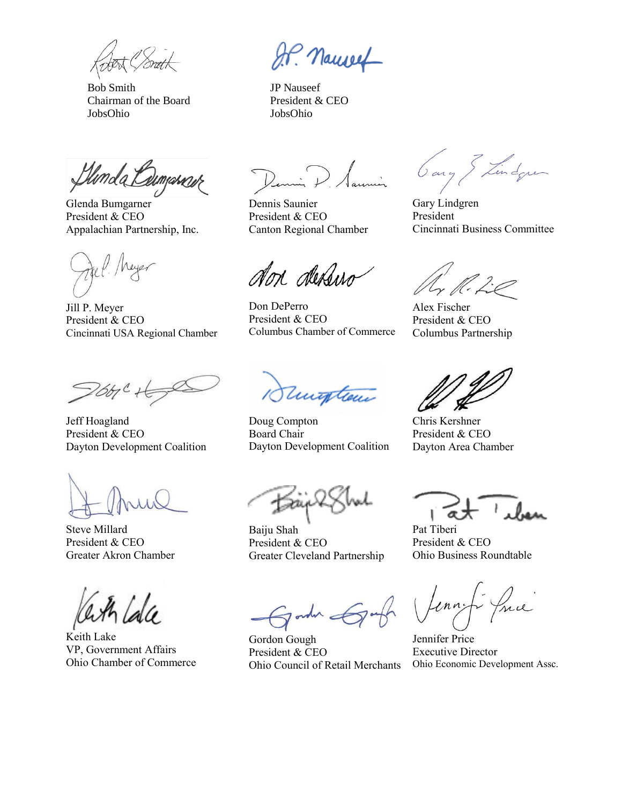Bob Smith JP Nauseef Chairman of the Board President & CEO JobsOhio JobsOhio

Llunda Cum

Glenda Bumgarner President & CEO Appalachian Partnership, Inc.

Jill P. Meyer President & CEO Cincinnati USA Regional Chamber

26ty C

Jeff Hoagland President & CEO Dayton Development Coalition

Steve Millard President & CEO Greater Akron Chamber

Keith Lake VP, Government Affairs Ohio Chamber of Commerce

J.P. Nameet

Dennis Saunier President & CEO Canton Regional Chamber

don dessus

Don DePerro President & CEO Columbus Chamber of Commerce

1Sumpton

Doug Compton Board Chair Dayton Development Coalition

Baiju Shah President & CEO Greater Cleveland Partnership

order &par

Gordon Gough President & CEO Ohio Council of Retail Merchants

Gary & Lindque

Gary Lindgren President Cincinnati Business Committee

 $\mathbb{Z}/\mathbb{Z}$ 

Alex Fischer President & CEO Columbus Partnership

Chris Kershner President & CEO Dayton Area Chamber

Pat Tiberi President & CEO Ohio Business Roundtable

me  $ln n_2$ 

Jennifer Price Executive Director Ohio Economic Development Assc.